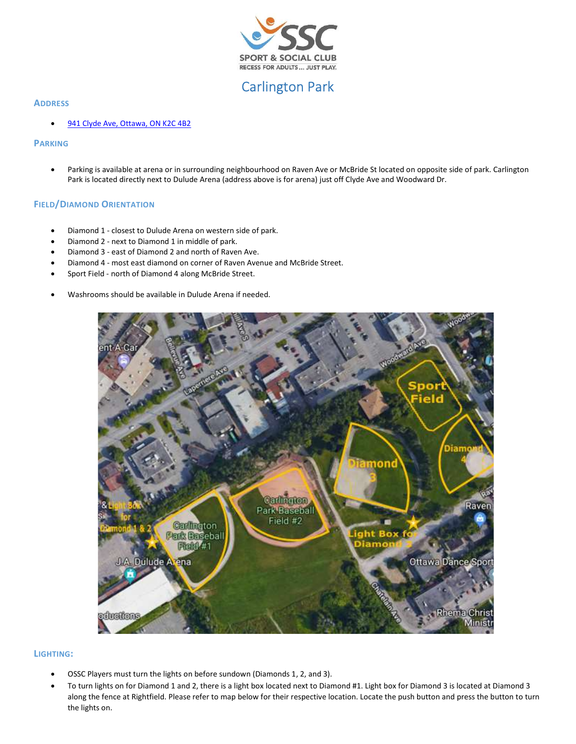

# Carlington Park

# **ADDRESS**

941 Clyde Ave, Ottawa, ON K2C 4B2

### PARKING

 Parking is available at arena or in surrounding neighbourhood on Raven Ave or McBride St located on opposite side of park. Carlington Park is located directly next to Dulude Arena (address above is for arena) just off Clyde Ave and Woodward Dr.

# FIELD/DIAMOND ORIENTATION

- Diamond 1 closest to Dulude Arena on western side of park.
- Diamond 2 next to Diamond 1 in middle of park.
- Diamond 3 east of Diamond 2 and north of Raven Ave.
- Diamond 4 most east diamond on corner of Raven Avenue and McBride Street.
- Sport Field north of Diamond 4 along McBride Street.
- Washrooms should be available in Dulude Arena if needed.



# LIGHTING:

- OSSC Players must turn the lights on before sundown (Diamonds 1, 2, and 3).
- To turn lights on for Diamond 1 and 2, there is a light box located next to Diamond #1. Light box for Diamond 3 is located at Diamond 3 along the fence at Rightfield. Please refer to map below for their respective location. Locate the push button and press the button to turn the lights on.